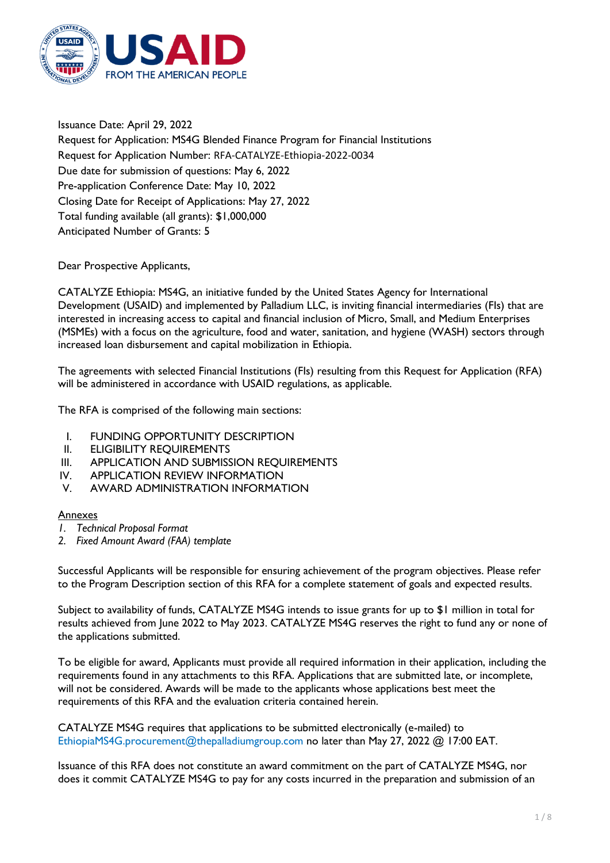

Issuance Date: April 29, 2022 Request for Application: MS4G Blended Finance Program for Financial Institutions Request for Application Number: RFA-CATALYZE-Ethiopia-2022-0034 Due date for submission of questions: May 6, 2022 Pre-application Conference Date: May 10, 2022 Closing Date for Receipt of Applications: May 27, 2022 Total funding available (all grants): \$1,000,000 Anticipated Number of Grants: 5

Dear Prospective Applicants,

CATALYZE Ethiopia: MS4G, an initiative funded by the United States Agency for International Development (USAID) and implemented by Palladium LLC, is inviting financial intermediaries (FIs) that are interested in increasing access to capital and financial inclusion of Micro, Small, and Medium Enterprises (MSMEs) with a focus on the agriculture, food and water, sanitation, and hygiene (WASH) sectors through increased loan disbursement and capital mobilization in Ethiopia.

The agreements with selected Financial Institutions (FIs) resulting from this Request for Application (RFA) will be administered in accordance with USAID regulations, as applicable.

The RFA is comprised of the following main sections:

- I. FUNDING OPPORTUNITY DESCRIPTION
- II. ELIGIBILITY REQUIREMENTS
- III. APPLICATION AND SUBMISSION REQUIREMENTS
- IV. APPLICATION REVIEW INFORMATION
- V. AWARD ADMINISTRATION INFORMATION

## Annexes

- *1. Technical Proposal Format*
- *2. Fixed Amount Award (FAA) template*

Successful Applicants will be responsible for ensuring achievement of the program objectives. Please refer to the Program Description section of this RFA for a complete statement of goals and expected results.

Subject to availability of funds, CATALYZE MS4G intends to issue grants for up to \$1 million in total for results achieved from June 2022 to May 2023. CATALYZE MS4G reserves the right to fund any or none of the applications submitted.

To be eligible for award, Applicants must provide all required information in their application, including the requirements found in any attachments to this RFA. Applications that are submitted late, or incomplete, will not be considered. Awards will be made to the applicants whose applications best meet the requirements of this RFA and the evaluation criteria contained herein.

CATALYZE MS4G requires that applications to be submitted electronically (e-mailed) to EthiopiaMS4G.procurement@thepalladiumgroup.com no later than May 27, 2022 @ 17:00 EAT.

Issuance of this RFA does not constitute an award commitment on the part of CATALYZE MS4G, nor does it commit CATALYZE MS4G to pay for any costs incurred in the preparation and submission of an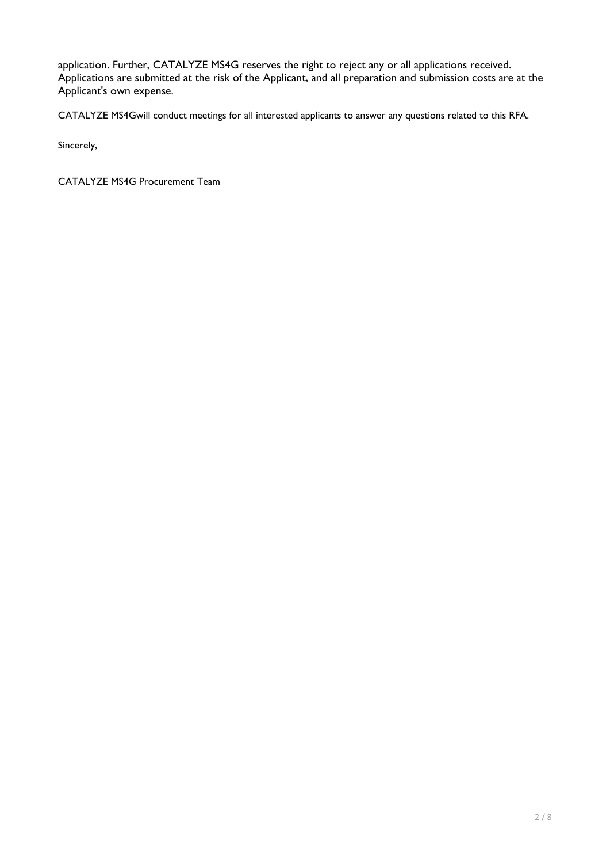application. Further, CATALYZE MS4G reserves the right to reject any or all applications received. Applications are submitted at the risk of the Applicant, and all preparation and submission costs are at the Applicant's own expense.

CATALYZE MS4Gwill conduct meetings for all interested applicants to answer any questions related to this RFA.

Sincerely,

CATALYZE MS4G Procurement Team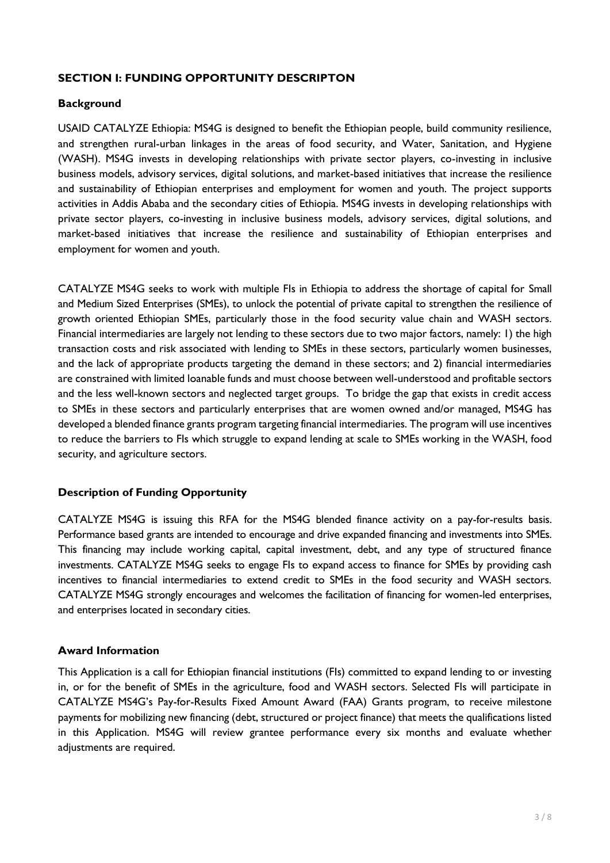## **SECTION I: FUNDING OPPORTUNITY DESCRIPTON**

#### **Background**

USAID CATALYZE Ethiopia: MS4G is designed to benefit the Ethiopian people, build community resilience, and strengthen rural-urban linkages in the areas of food security, and Water, Sanitation, and Hygiene (WASH). MS4G invests in developing relationships with private sector players, co-investing in inclusive business models, advisory services, digital solutions, and market-based initiatives that increase the resilience and sustainability of Ethiopian enterprises and employment for women and youth. The project supports activities in Addis Ababa and the secondary cities of Ethiopia. MS4G invests in developing relationships with private sector players, co-investing in inclusive business models, advisory services, digital solutions, and market-based initiatives that increase the resilience and sustainability of Ethiopian enterprises and employment for women and youth.

CATALYZE MS4G seeks to work with multiple FIs in Ethiopia to address the shortage of capital for Small and Medium Sized Enterprises (SMEs), to unlock the potential of private capital to strengthen the resilience of growth oriented Ethiopian SMEs, particularly those in the food security value chain and WASH sectors. Financial intermediaries are largely not lending to these sectors due to two major factors, namely: 1) the high transaction costs and risk associated with lending to SMEs in these sectors, particularly women businesses, and the lack of appropriate products targeting the demand in these sectors; and 2) financial intermediaries are constrained with limited loanable funds and must choose between well-understood and profitable sectors and the less well-known sectors and neglected target groups. To bridge the gap that exists in credit access to SMEs in these sectors and particularly enterprises that are women owned and/or managed, MS4G has developed a blended finance grants program targeting financial intermediaries. The program will use incentives to reduce the barriers to FIs which struggle to expand lending at scale to SMEs working in the WASH, food security, and agriculture sectors.

## **Description of Funding Opportunity**

CATALYZE MS4G is issuing this RFA for the MS4G blended finance activity on a pay-for-results basis. Performance based grants are intended to encourage and drive expanded financing and investments into SMEs. This financing may include working capital, capital investment, debt, and any type of structured finance investments. CATALYZE MS4G seeks to engage FIs to expand access to finance for SMEs by providing cash incentives to financial intermediaries to extend credit to SMEs in the food security and WASH sectors. CATALYZE MS4G strongly encourages and welcomes the facilitation of financing for women-led enterprises, and enterprises located in secondary cities.

## **Award Information**

This Application is a call for Ethiopian financial institutions (FIs) committed to expand lending to or investing in, or for the benefit of SMEs in the agriculture, food and WASH sectors. Selected FIs will participate in CATALYZE MS4G's Pay-for-Results Fixed Amount Award (FAA) Grants program, to receive milestone payments for mobilizing new financing (debt, structured or project finance) that meets the qualifications listed in this Application. MS4G will review grantee performance every six months and evaluate whether adjustments are required.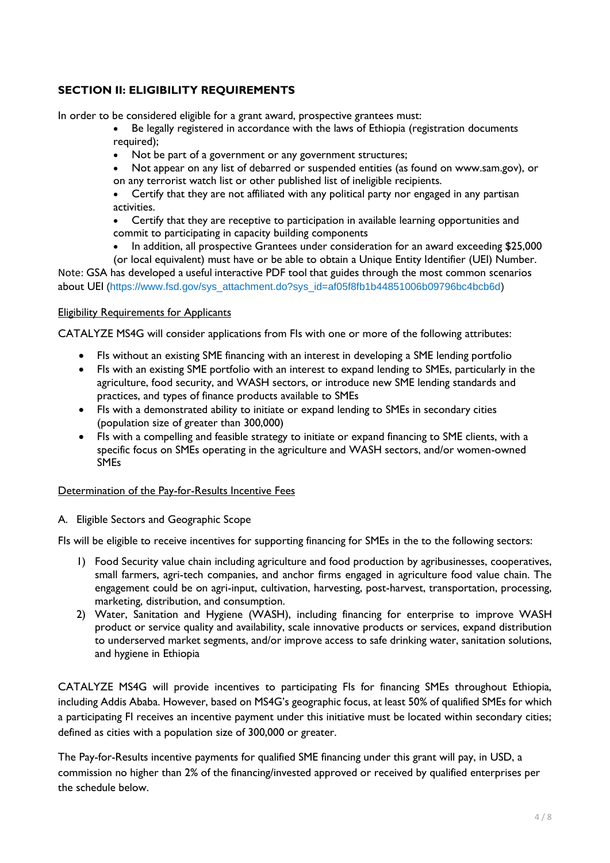# **SECTION II: ELIGIBILITY REQUIREMENTS**

In order to be considered eligible for a grant award, prospective grantees must:

- Be legally registered in accordance with the laws of Ethiopia (registration documents required);
- Not be part of a government or any government structures;
- Not appear on any list of debarred or suspended entities (as found on www.sam.gov), or on any terrorist watch list or other published list of ineligible recipients.
- Certify that they are not affiliated with any political party nor engaged in any partisan activities.
- Certify that they are receptive to participation in available learning opportunities and commit to participating in capacity building components
- In addition, all prospective Grantees under consideration for an award exceeding \$25,000 (or local equivalent) must have or be able to obtain a Unique Entity Identifier (UEI) Number.

Note: GSA has developed a useful interactive PDF tool that guides through the most common scenarios about UEI (https://www.fsd.gov/sys\_attachment.do?sys\_id=af05f8fb1b44851006b09796bc4bcb6d)

#### Eligibility Requirements for Applicants

CATALYZE MS4G will consider applications from FIs with one or more of the following attributes:

- FIs without an existing SME financing with an interest in developing a SME lending portfolio
- FIs with an existing SME portfolio with an interest to expand lending to SMEs, particularly in the agriculture, food security, and WASH sectors, or introduce new SME lending standards and practices, and types of finance products available to SMEs
- FIs with a demonstrated ability to initiate or expand lending to SMEs in secondary cities (population size of greater than 300,000)
- FIs with a compelling and feasible strategy to initiate or expand financing to SME clients, with a specific focus on SMEs operating in the agriculture and WASH sectors, and/or women-owned SMEs

#### Determination of the Pay-for-Results Incentive Fees

#### A. Eligible Sectors and Geographic Scope

FIs will be eligible to receive incentives for supporting financing for SMEs in the to the following sectors:

- 1) Food Security value chain including agriculture and food production by agribusinesses, cooperatives, small farmers, agri-tech companies, and anchor firms engaged in agriculture food value chain. The engagement could be on agri-input, cultivation, harvesting, post-harvest, transportation, processing, marketing, distribution, and consumption.
- 2) Water, Sanitation and Hygiene (WASH), including financing for enterprise to improve WASH product or service quality and availability, scale innovative products or services, expand distribution to underserved market segments, and/or improve access to safe drinking water, sanitation solutions, and hygiene in Ethiopia

CATALYZE MS4G will provide incentives to participating FIs for financing SMEs throughout Ethiopia, including Addis Ababa. However, based on MS4G's geographic focus, at least 50% of qualified SMEs for which a participating FI receives an incentive payment under this initiative must be located within secondary cities; defined as cities with a population size of 300,000 or greater.

The Pay-for-Results incentive payments for qualified SME financing under this grant will pay, in USD, a commission no higher than 2% of the financing/invested approved or received by qualified enterprises per the schedule below.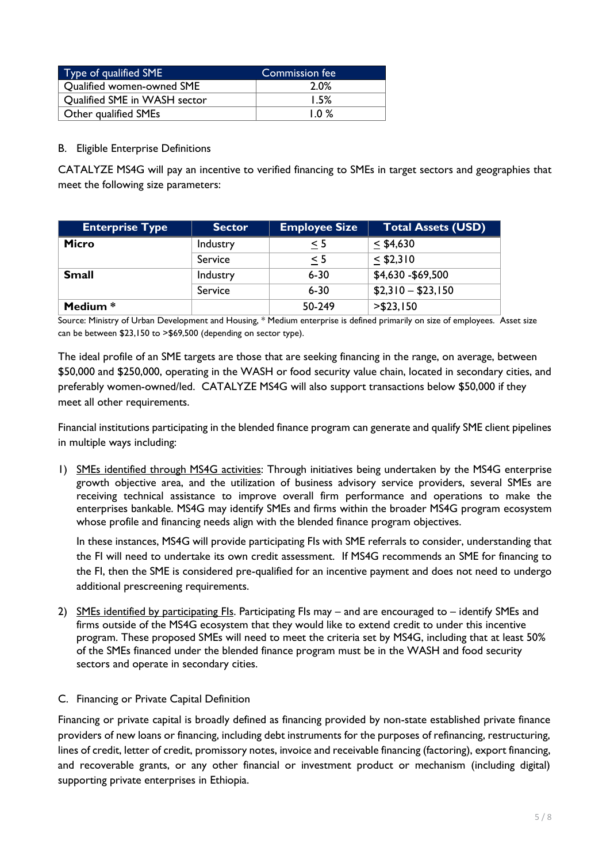| Type of qualified SME        | Commission fee |
|------------------------------|----------------|
| Qualified women-owned SME    | 2.0%           |
| Qualified SME in WASH sector | 1.5%           |
| Other qualified SMEs         | $1.0 \%$       |

## B. Eligible Enterprise Definitions

CATALYZE MS4G will pay an incentive to verified financing to SMEs in target sectors and geographies that meet the following size parameters:

| <b>Enterprise Type</b> | <b>Sector</b> | <b>Employee Size</b> | <b>Total Assets (USD)</b> |
|------------------------|---------------|----------------------|---------------------------|
| Micro                  | Industry      | $\leq 5$             | $<$ \$4,630               |
|                        | Service       | < 5                  | $<$ \$2,310               |
| <b>Small</b>           | Industry      | $6 - 30$             | \$4,630 - \$69,500        |
|                        | Service       | $6 - 30$             | $$2,310 - $23,150$        |
| Medium *               |               | 50-249               | $>$ \$23,150              |

Source: Ministry of Urban Development and Housing, \* Medium enterprise is defined primarily on size of employees. Asset size can be between \$23,150 to >\$69,500 (depending on sector type).

The ideal profile of an SME targets are those that are seeking financing in the range, on average, between \$50,000 and \$250,000, operating in the WASH or food security value chain, located in secondary cities, and preferably women-owned/led. CATALYZE MS4G will also support transactions below \$50,000 if they meet all other requirements.

Financial institutions participating in the blended finance program can generate and qualify SME client pipelines in multiple ways including:

1) SMEs identified through MS4G activities: Through initiatives being undertaken by the MS4G enterprise growth objective area, and the utilization of business advisory service providers, several SMEs are receiving technical assistance to improve overall firm performance and operations to make the enterprises bankable. MS4G may identify SMEs and firms within the broader MS4G program ecosystem whose profile and financing needs align with the blended finance program objectives.

In these instances, MS4G will provide participating FIs with SME referrals to consider, understanding that the FI will need to undertake its own credit assessment. If MS4G recommends an SME for financing to the FI, then the SME is considered pre-qualified for an incentive payment and does not need to undergo additional prescreening requirements.

2) SMEs identified by participating FIs. Participating FIs may – and are encouraged to – identify SMEs and firms outside of the MS4G ecosystem that they would like to extend credit to under this incentive program. These proposed SMEs will need to meet the criteria set by MS4G, including that at least 50% of the SMEs financed under the blended finance program must be in the WASH and food security sectors and operate in secondary cities.

#### C. Financing or Private Capital Definition

Financing or private capital is broadly defined as financing provided by non-state established private finance providers of new loans or financing, including debt instruments for the purposes of refinancing, restructuring, lines of credit, letter of credit, promissory notes, invoice and receivable financing (factoring), export financing, and recoverable grants, or any other financial or investment product or mechanism (including digital) supporting private enterprises in Ethiopia.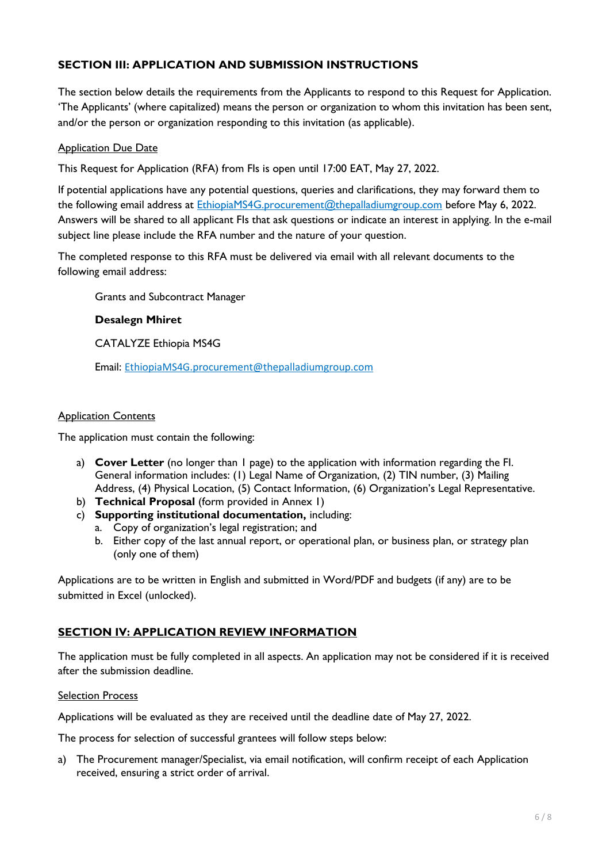# **SECTION III: APPLICATION AND SUBMISSION INSTRUCTIONS**

The section below details the requirements from the Applicants to respond to this Request for Application. 'The Applicants' (where capitalized) means the person or organization to whom this invitation has been sent, and/or the person or organization responding to this invitation (as applicable).

#### Application Due Date

This Request for Application (RFA) from FIs is open until 17:00 EAT, May 27, 2022.

If potential applications have any potential questions, queries and clarifications, they may forward them to the following email address at **EthiopiaMS4G.procurement@thepalladiumgroup.com** before May 6, 2022. Answers will be shared to all applicant FIs that ask questions or indicate an interest in applying. In the e-mail subject line please include the RFA number and the nature of your question.

The completed response to this RFA must be delivered via email with all relevant documents to the following email address:

Grants and Subcontract Manager

#### **Desalegn Mhiret**

CATALYZE Ethiopia MS4G

Email: EthiopiaMS4G.procurement@thepalladiumgroup.com

#### Application Contents

The application must contain the following:

- a) **Cover Letter** (no longer than 1 page) to the application with information regarding the FI. General information includes: (1) Legal Name of Organization, (2) TIN number, (3) Mailing Address, (4) Physical Location, (5) Contact Information, (6) Organization's Legal Representative.
- b) **Technical Proposal** (form provided in Annex 1)
- c) **Supporting institutional documentation,** including:
	- a. Copy of organization's legal registration; and
	- b. Either copy of the last annual report, or operational plan, or business plan, or strategy plan (only one of them)

Applications are to be written in English and submitted in Word/PDF and budgets (if any) are to be submitted in Excel (unlocked).

## **SECTION IV: APPLICATION REVIEW INFORMATION**

The application must be fully completed in all aspects. An application may not be considered if it is received after the submission deadline.

#### Selection Process

Applications will be evaluated as they are received until the deadline date of May 27, 2022.

The process for selection of successful grantees will follow steps below:

a) The Procurement manager/Specialist, via email notification, will confirm receipt of each Application received, ensuring a strict order of arrival.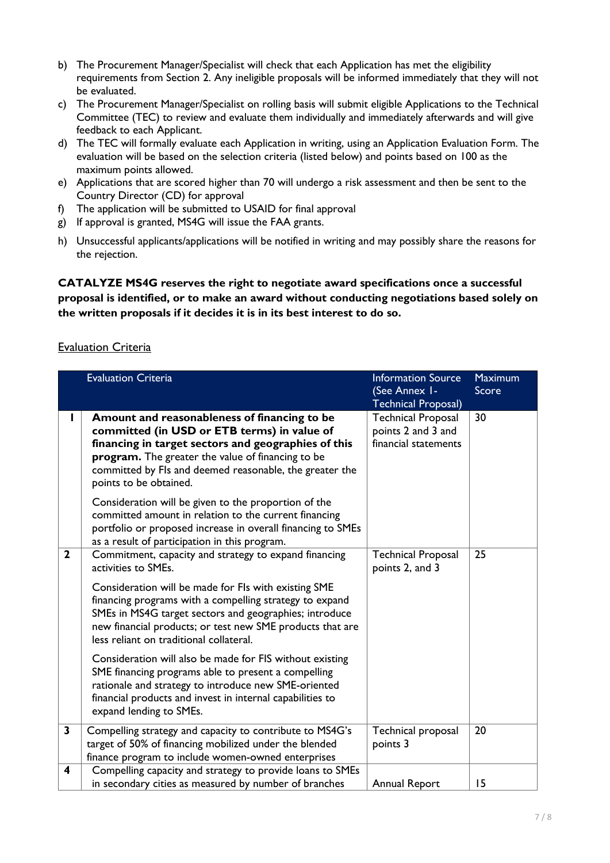- b) The Procurement Manager/Specialist will check that each Application has met the eligibility requirements from Section 2. Any ineligible proposals will be informed immediately that they will not be evaluated.
- c) The Procurement Manager/Specialist on rolling basis will submit eligible Applications to the Technical Committee (TEC) to review and evaluate them individually and immediately afterwards and will give feedback to each Applicant.
- d) The TEC will formally evaluate each Application in writing, using an Application Evaluation Form. The evaluation will be based on the selection criteria (listed below) and points based on 100 as the maximum points allowed.
- e) Applications that are scored higher than 70 will undergo a risk assessment and then be sent to the Country Director (CD) for approval
- f) The application will be submitted to USAID for final approval
- g) If approval is granted, MS4G will issue the FAA grants.
- h) Unsuccessful applicants/applications will be notified in writing and may possibly share the reasons for the rejection.

**CATALYZE MS4G reserves the right to negotiate award specifications once a successful proposal is identified, or to make an award without conducting negotiations based solely on the written proposals if it decides it is in its best interest to do so.** 

## Evaluation Criteria

|                | <b>Evaluation Criteria</b>                                                                                                                                                                                                                                                                   | <b>Information Source</b><br>(See Annex I-<br><b>Technical Proposal)</b> | <b>Maximum</b><br>Score |
|----------------|----------------------------------------------------------------------------------------------------------------------------------------------------------------------------------------------------------------------------------------------------------------------------------------------|--------------------------------------------------------------------------|-------------------------|
|                | Amount and reasonableness of financing to be<br>committed (in USD or ETB terms) in value of<br>financing in target sectors and geographies of this<br>program. The greater the value of financing to be<br>committed by Fls and deemed reasonable, the greater the<br>points to be obtained. | <b>Technical Proposal</b><br>points 2 and 3 and<br>financial statements  | 30                      |
|                | Consideration will be given to the proportion of the<br>committed amount in relation to the current financing<br>portfolio or proposed increase in overall financing to SMEs<br>as a result of participation in this program.                                                                |                                                                          |                         |
| $\overline{2}$ | Commitment, capacity and strategy to expand financing<br>activities to SMEs.                                                                                                                                                                                                                 | <b>Technical Proposal</b><br>points 2, and 3                             | 25                      |
|                | Consideration will be made for Fls with existing SME<br>financing programs with a compelling strategy to expand<br>SMEs in MS4G target sectors and geographies; introduce<br>new financial products; or test new SME products that are<br>less reliant on traditional collateral.            |                                                                          |                         |
|                | Consideration will also be made for FIS without existing<br>SME financing programs able to present a compelling<br>rationale and strategy to introduce new SME-oriented<br>financial products and invest in internal capabilities to<br>expand lending to SMEs.                              |                                                                          |                         |
| $\mathbf{3}$   | Compelling strategy and capacity to contribute to MS4G's<br>target of 50% of financing mobilized under the blended<br>finance program to include women-owned enterprises                                                                                                                     | Technical proposal<br>points 3                                           | 20                      |
| 4              | Compelling capacity and strategy to provide loans to SMEs<br>in secondary cities as measured by number of branches                                                                                                                                                                           | Annual Report                                                            | 15                      |